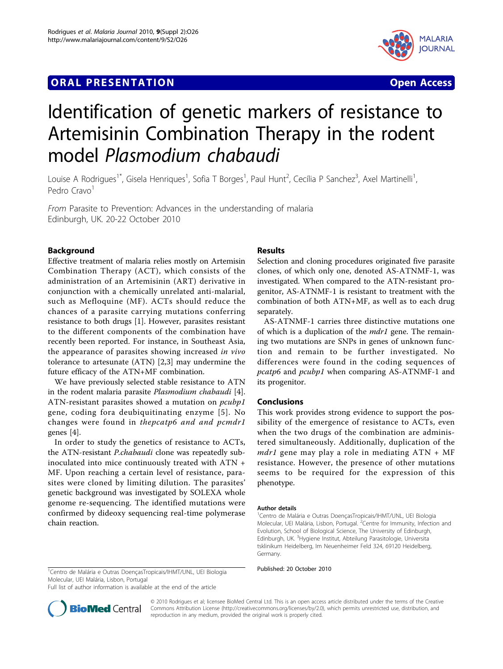## **ORAL PRESENTATION OPEN ACCESS**



# Identification of genetic markers of resistance to Artemisinin Combination Therapy in the rodent model Plasmodium chabaudi

Louise A Rodrigues<sup>1\*</sup>, Gisela Henriques<sup>1</sup>, Sofia T Borges<sup>1</sup>, Paul Hunt<sup>2</sup>, Cecília P Sanchez<sup>3</sup>, Axel Martinelli<sup>1</sup> , Pedro Cravo<sup>1</sup>

From Parasite to Prevention: Advances in the understanding of malaria Edinburgh, UK. 20-22 October 2010

## Background

Effective treatment of malaria relies mostly on Artemisin Combination Therapy (ACT), which consists of the administration of an Artemisinin (ART) derivative in conjunction with a chemically unrelated anti-malarial, such as Mefloquine (MF). ACTs should reduce the chances of a parasite carrying mutations conferring resistance to both drugs [\[1](#page-1-0)]. However, parasites resistant to the different components of the combination have recently been reported. For instance, in Southeast Asia, the appearance of parasites showing increased in vivo tolerance to artesunate (ATN) [[2,3](#page-1-0)] may undermine the future efficacy of the ATN+MF combination.

We have previously selected stable resistance to ATN in the rodent malaria parasite Plasmodium chabaudi [\[4](#page-1-0)]. ATN-resistant parasites showed a mutation on pcubp1 gene, coding fora deubiquitinating enzyme [[5](#page-1-0)]. No changes were found in thepcatp6 and and pcmdr1 genes [[4\]](#page-1-0).

In order to study the genetics of resistance to ACTs, the ATN-resistant P.chabaudi clone was repeatedly subinoculated into mice continuously treated with ATN + MF. Upon reaching a certain level of resistance, parasites were cloned by limiting dilution. The parasites' genetic background was investigated by SOLEXA whole genome re-sequencing. The identified mutations were confirmed by dideoxy sequencing real-time polymerase chain reaction.

## Results

Selection and cloning procedures originated five parasite clones, of which only one, denoted AS-ATNMF-1, was investigated. When compared to the ATN-resistant progenitor, AS-ATNMF-1 is resistant to treatment with the combination of both ATN+MF, as well as to each drug separately.

AS-ATNMF-1 carries three distinctive mutations one of which is a duplication of the *mdr1* gene. The remaining two mutations are SNPs in genes of unknown function and remain to be further investigated. No differences were found in the coding sequences of pcatp6 and pcubp1 when comparing AS-ATNMF-1 and its progenitor.

#### Conclusions

This work provides strong evidence to support the possibility of the emergence of resistance to ACTs, even when the two drugs of the combination are administered simultaneously. Additionally, duplication of the  $mdr1$  gene may play a role in mediating  $ATN + MF$ resistance. However, the presence of other mutations seems to be required for the expression of this phenotype.

#### Author details

1 Centro de Malária e Outras DoençasTropicais/IHMT/UNL, UEI Biologia Molecular, UEI Malária, Lisbon, Portugal. <sup>2</sup>Centre for Immunity, Infection and Evolution, School of Biological Science, The University of Edinburgh, Edinburgh, UK. <sup>3</sup>Hygiene Institut, Abteilung Parasitologie, Universita tsklinikum Heidelberg, Im Neuenheimer Feld 324, 69120 Heidelberg, Germany.

<sup>1</sup> Centro de Malária e Outras DoençasTropicais/IHMT/UNL, UEI Biologia Published: 20 October 2010 Molecular, UEI Malária, Lisbon, Portugal

Full list of author information is available at the end of the article



© 2010 Rodrigues et al; licensee BioMed Central Ltd. This is an open access article distributed under the terms of the Creative Commons Attribution License [\(http://creativecommons.org/licenses/by/2.0](http://creativecommons.org/licenses/by/2.0)), which permits unrestricted use, distribution, and reproduction in any medium, provided the original work is properly cited.